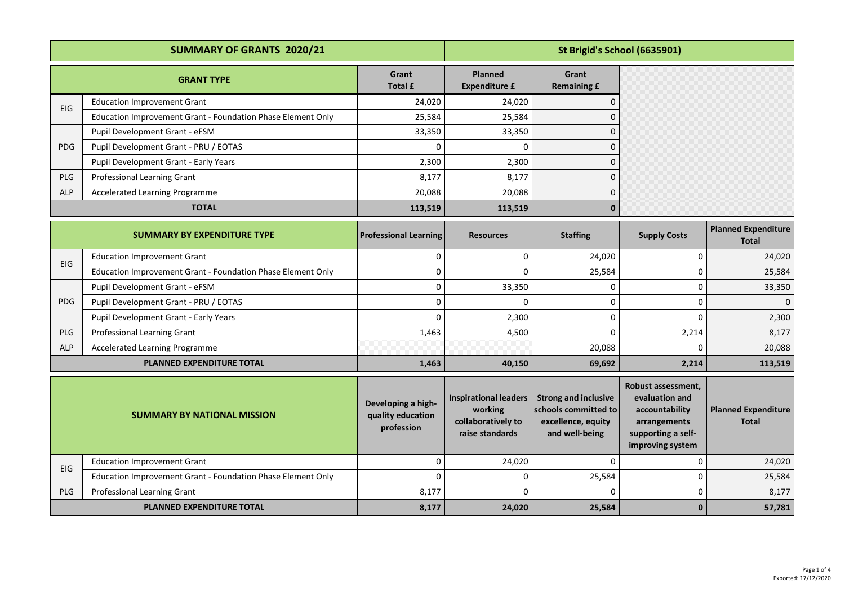| <b>SUMMARY OF GRANTS 2020/21</b> |                                                             |                                                       | St Brigid's School (6635901)                                                     |                                                                                             |                                                                                                                  |                                            |
|----------------------------------|-------------------------------------------------------------|-------------------------------------------------------|----------------------------------------------------------------------------------|---------------------------------------------------------------------------------------------|------------------------------------------------------------------------------------------------------------------|--------------------------------------------|
|                                  | <b>GRANT TYPE</b>                                           | Grant<br><b>Total £</b>                               | <b>Planned</b><br><b>Expenditure £</b>                                           | Grant<br><b>Remaining £</b>                                                                 |                                                                                                                  |                                            |
|                                  | <b>Education Improvement Grant</b>                          | 24,020                                                | 24,020                                                                           | $\Omega$                                                                                    |                                                                                                                  |                                            |
| EIG                              | Education Improvement Grant - Foundation Phase Element Only | 25,584                                                | 25,584                                                                           | $\Omega$                                                                                    |                                                                                                                  |                                            |
| <b>PDG</b>                       | Pupil Development Grant - eFSM                              | 33,350                                                | 33,350                                                                           | 0                                                                                           |                                                                                                                  |                                            |
|                                  | Pupil Development Grant - PRU / EOTAS                       | n                                                     | $\Omega$                                                                         | n                                                                                           |                                                                                                                  |                                            |
|                                  | Pupil Development Grant - Early Years                       | 2,300                                                 | 2,300                                                                            | $\Omega$                                                                                    |                                                                                                                  |                                            |
| <b>PLG</b>                       | Professional Learning Grant                                 | 8,177                                                 | 8,177                                                                            | $\Omega$                                                                                    |                                                                                                                  |                                            |
| <b>ALP</b>                       | <b>Accelerated Learning Programme</b>                       | 20,088                                                | 20,088                                                                           | $\Omega$                                                                                    |                                                                                                                  |                                            |
|                                  | <b>TOTAL</b>                                                | 113,519                                               | 113,519                                                                          | $\mathbf 0$                                                                                 |                                                                                                                  |                                            |
|                                  | <b>SUMMARY BY EXPENDITURE TYPE</b>                          | <b>Professional Learning</b>                          | <b>Resources</b>                                                                 | <b>Staffing</b>                                                                             | <b>Supply Costs</b>                                                                                              | <b>Planned Expenditure</b><br><b>Total</b> |
| EIG                              | <b>Education Improvement Grant</b>                          | 0                                                     | $\mathbf 0$                                                                      | 24,020                                                                                      | 0                                                                                                                | 24,020                                     |
|                                  | Education Improvement Grant - Foundation Phase Element Only | $\mathbf 0$                                           | $\Omega$                                                                         | 25,584                                                                                      | $\Omega$                                                                                                         | 25,584                                     |
|                                  | Pupil Development Grant - eFSM                              | $\Omega$                                              | 33,350                                                                           | 0                                                                                           | $\mathbf 0$                                                                                                      | 33,350                                     |
| <b>PDG</b>                       | Pupil Development Grant - PRU / EOTAS                       | $\mathbf 0$                                           | $\mathbf{0}$                                                                     | 0                                                                                           | $\mathbf 0$                                                                                                      | $\mathbf 0$                                |
|                                  | Pupil Development Grant - Early Years                       | $\Omega$                                              | 2,300                                                                            | 0                                                                                           | $\Omega$                                                                                                         | 2,300                                      |
| <b>PLG</b>                       | Professional Learning Grant                                 | 1,463                                                 | 4,500                                                                            | $\Omega$                                                                                    | 2,214                                                                                                            | 8,177                                      |
| <b>ALP</b>                       | Accelerated Learning Programme                              |                                                       |                                                                                  | 20,088                                                                                      | $\Omega$                                                                                                         | 20,088                                     |
|                                  | PLANNED EXPENDITURE TOTAL                                   | 1,463                                                 | 40,150                                                                           | 69,692                                                                                      | 2,214                                                                                                            | 113,519                                    |
|                                  | <b>SUMMARY BY NATIONAL MISSION</b>                          | Developing a high-<br>quality education<br>profession | <b>Inspirational leaders</b><br>working<br>collaboratively to<br>raise standards | <b>Strong and inclusive</b><br>schools committed to<br>excellence, equity<br>and well-being | Robust assessment,<br>evaluation and<br>accountability<br>arrangements<br>supporting a self-<br>improving system | <b>Planned Expenditure</b><br><b>Total</b> |
| EIG                              | <b>Education Improvement Grant</b>                          | 0                                                     | 24,020                                                                           | 0                                                                                           | 0                                                                                                                | 24,020                                     |
|                                  | Education Improvement Grant - Foundation Phase Element Only | $\Omega$                                              | 0                                                                                | 25,584                                                                                      | $\mathbf 0$                                                                                                      | 25,584                                     |
| PLG                              | Professional Learning Grant                                 | 8,177                                                 | $\Omega$                                                                         | n                                                                                           | $\Omega$                                                                                                         | 8,177                                      |
|                                  | PLANNED EXPENDITURE TOTAL                                   | 8,177                                                 | 24,020                                                                           | 25,584                                                                                      | $\mathbf{0}$                                                                                                     | 57,781                                     |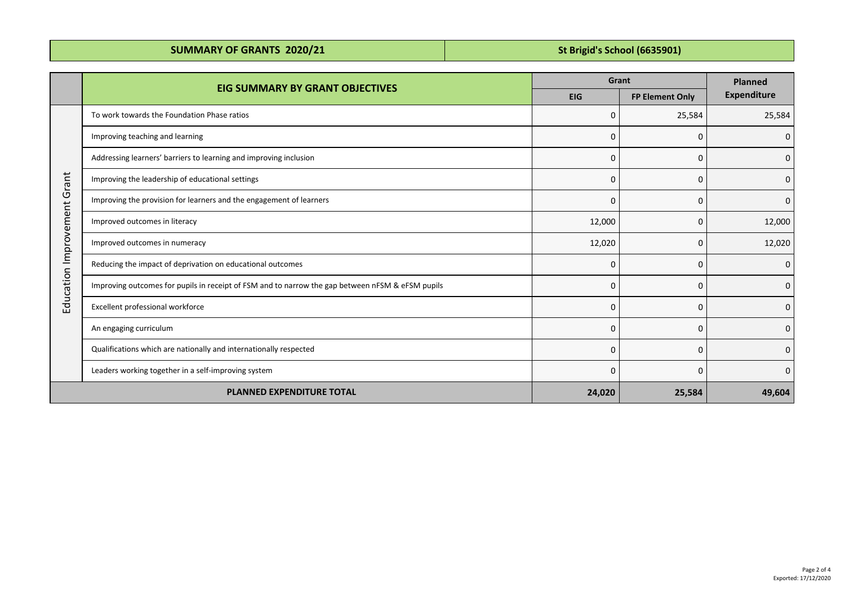| <b>SUMMARY OF GRANTS 2020/21</b> | St Brigid's School (6635901) |
|----------------------------------|------------------------------|
|----------------------------------|------------------------------|

|                             | <b>EIG SUMMARY BY GRANT OBJECTIVES</b>                                                           | Grant      |                        | <b>Planned</b>     |
|-----------------------------|--------------------------------------------------------------------------------------------------|------------|------------------------|--------------------|
|                             |                                                                                                  | <b>EIG</b> | <b>FP Element Only</b> | <b>Expenditure</b> |
| Education Improvement Grant | To work towards the Foundation Phase ratios                                                      | 0          | 25,584                 | 25,584             |
|                             | Improving teaching and learning                                                                  | $\Omega$   | $\Omega$               | 0                  |
|                             | Addressing learners' barriers to learning and improving inclusion                                | 0          | 0                      | $\mathbf 0$        |
|                             | Improving the leadership of educational settings                                                 | 0          | 0                      | 0                  |
|                             | Improving the provision for learners and the engagement of learners                              | 0          | $\Omega$               | 0                  |
|                             | Improved outcomes in literacy                                                                    | 12,000     | 0                      | 12,000             |
|                             | Improved outcomes in numeracy                                                                    | 12,020     | 0                      | 12,020             |
|                             | Reducing the impact of deprivation on educational outcomes                                       | 0          | $\Omega$               | $\mathbf 0$        |
|                             | Improving outcomes for pupils in receipt of FSM and to narrow the gap between nFSM & eFSM pupils | 0          | 0                      | 0                  |
|                             | Excellent professional workforce                                                                 | $\Omega$   | 0                      | 0                  |
|                             | An engaging curriculum                                                                           | $\Omega$   | 0                      | 0                  |
|                             | Qualifications which are nationally and internationally respected                                | 0          | 0                      | $\mathbf{0}$       |
|                             | Leaders working together in a self-improving system                                              | 0          | 0                      | 0                  |
|                             | <b>PLANNED EXPENDITURE TOTAL</b>                                                                 | 24,020     | 25,584                 | 49,604             |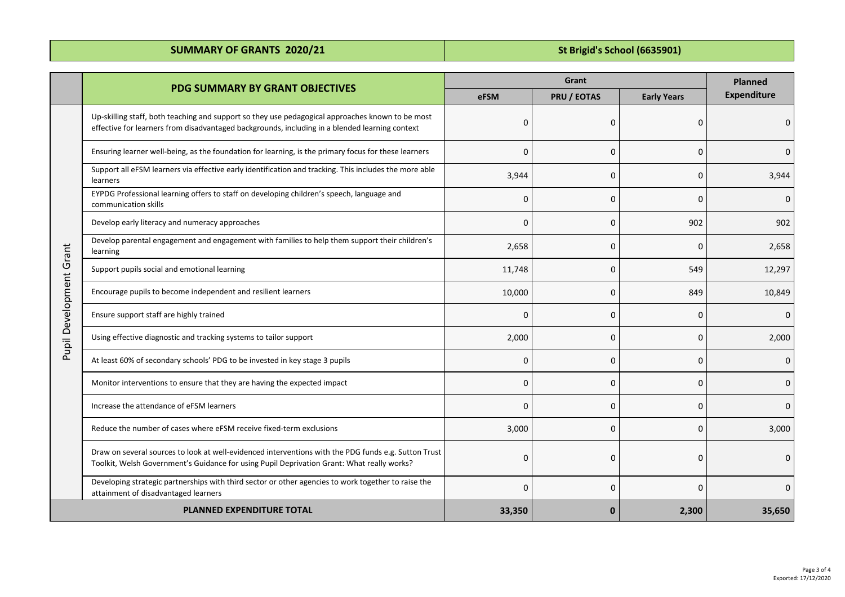**SUMMARY OF GRANTS 2020/21 SUMMARY OF GRANTS 2020/21 SUMMARY OF GRANTS 2020/21** 

|                         | <b>PDG SUMMARY BY GRANT OBJECTIVES</b>                                                                                                                                                             | Grant    |              |                    | <b>Planned</b>     |
|-------------------------|----------------------------------------------------------------------------------------------------------------------------------------------------------------------------------------------------|----------|--------------|--------------------|--------------------|
|                         |                                                                                                                                                                                                    |          | PRU / EOTAS  | <b>Early Years</b> | <b>Expenditure</b> |
|                         | Up-skilling staff, both teaching and support so they use pedagogical approaches known to be most<br>effective for learners from disadvantaged backgrounds, including in a blended learning context | $\Omega$ | 0            | $\Omega$           | O                  |
|                         | Ensuring learner well-being, as the foundation for learning, is the primary focus for these learners                                                                                               | $\Omega$ | $\Omega$     | $\Omega$           | $\Omega$           |
|                         | Support all eFSM learners via effective early identification and tracking. This includes the more able<br>learners                                                                                 | 3,944    | $\Omega$     | $\Omega$           | 3,944              |
|                         | EYPDG Professional learning offers to staff on developing children's speech, language and<br>communication skills                                                                                  | 0        | 0            | $\Omega$           | $\Omega$           |
|                         | Develop early literacy and numeracy approaches                                                                                                                                                     | $\Omega$ | $\mathbf 0$  | 902                | 902                |
|                         | Develop parental engagement and engagement with families to help them support their children's<br>learning                                                                                         | 2,658    | $\Omega$     | $\Omega$           | 2,658              |
|                         | Support pupils social and emotional learning                                                                                                                                                       | 11,748   | $\Omega$     | 549                | 12,297             |
|                         | Encourage pupils to become independent and resilient learners                                                                                                                                      | 10,000   | $\mathbf 0$  | 849                | 10,849             |
| Pupil Development Grant | Ensure support staff are highly trained                                                                                                                                                            | 0        | 0            | $\Omega$           | $\Omega$           |
|                         | Using effective diagnostic and tracking systems to tailor support                                                                                                                                  | 2,000    | 0            | $\Omega$           | 2,000              |
|                         | At least 60% of secondary schools' PDG to be invested in key stage 3 pupils                                                                                                                        | $\Omega$ | $\mathbf 0$  | $\Omega$           |                    |
|                         | Monitor interventions to ensure that they are having the expected impact                                                                                                                           | $\Omega$ | $\mathbf 0$  | $\Omega$           | O                  |
|                         | Increase the attendance of eFSM learners                                                                                                                                                           | $\Omega$ | $\Omega$     | $\Omega$           | ŋ                  |
|                         | Reduce the number of cases where eFSM receive fixed-term exclusions                                                                                                                                | 3,000    | 0            | $\Omega$           | 3,000              |
|                         | Draw on several sources to look at well-evidenced interventions with the PDG funds e.g. Sutton Trust<br>Toolkit, Welsh Government's Guidance for using Pupil Deprivation Grant: What really works? | 0        | $\Omega$     | 0                  | $\Omega$           |
|                         | Developing strategic partnerships with third sector or other agencies to work together to raise the<br>attainment of disadvantaged learners                                                        | $\Omega$ | $\mathbf 0$  | $\Omega$           | $\Omega$           |
|                         | <b>PLANNED EXPENDITURE TOTAL</b>                                                                                                                                                                   | 33,350   | $\mathbf{0}$ | 2,300              | 35,650             |